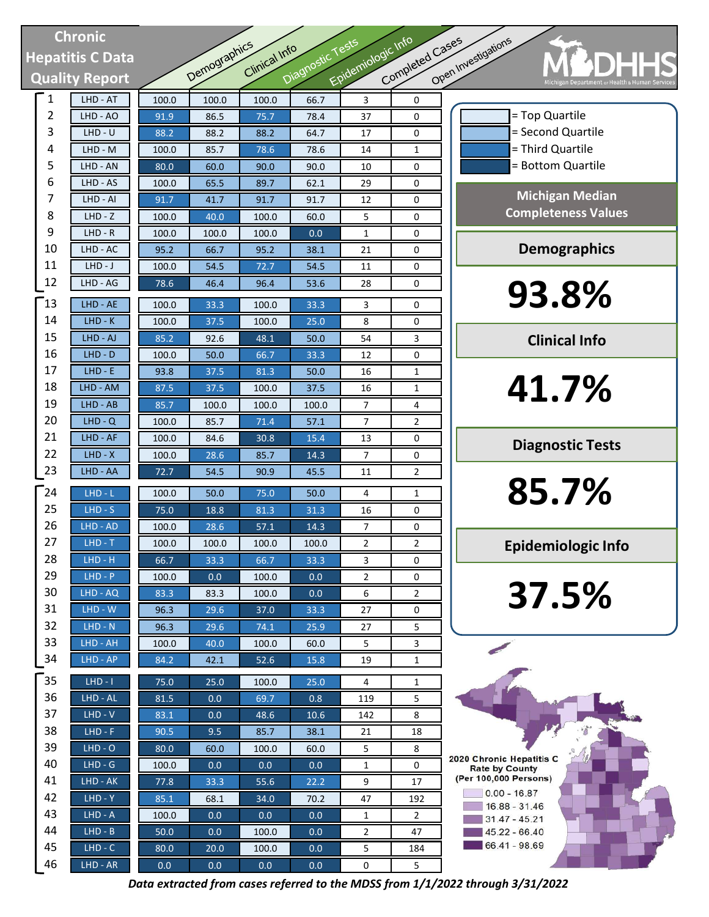## Chronic Hepatitis C Data Quality Report

| <b>Chronic</b> |                        |       |                     |               |                  |                    |                 |                              |
|----------------|------------------------|-------|---------------------|---------------|------------------|--------------------|-----------------|------------------------------|
|                | epatitis C Data        |       |                     |               |                  |                    |                 |                              |
|                |                        |       | <b>Demographics</b> | Clinical Info | Diagnostic Tests | Epidemiologic Info | Completed Cases | Open Investigations          |
|                | <b>Quality Report</b>  |       |                     |               |                  |                    |                 |                              |
| $\mathbf{1}$   | LHD - AT               | 100.0 | 100.0               | 100.0         | 66.7             | $\overline{3}$     | 0               |                              |
| $\overline{2}$ | LHD - AO               | 91.9  | 86.5                | 75.7          | 78.4             | 37                 | 0               |                              |
| 3              | $LHD - U$              | 88.2  | 88.2                | 88.2          | 64.7             | 17                 | 0               |                              |
| 4              | $LHD - M$              | 100.0 | 85.7                | 78.6          | 78.6             | 14                 | $\mathbf{1}$    |                              |
| 5              | LHD - AN               | 80.0  | 60.0                | 90.0          | 90.0             | 10                 | 0               | Ξ                            |
| 6              | LHD - AS               | 100.0 | 65.5                | 89.7          | 62.1             | 29                 | 0               |                              |
| 7              | LHD - AI               | 91.7  | 41.7                | 91.7          | 91.7             | 12                 | 0               |                              |
| 8              | $LHD - Z$              | 100.0 | 40.0                | 100.0         | 60.0             | 5                  | 0               | C <sub>C</sub>               |
| 9              | $LHD - R$              | 100.0 | 100.0               | 100.0         | 0.0              | 1                  | 0               |                              |
| 10             | LHD - AC               | 95.2  | 66.7                | 95.2          | 38.1             | 21                 | 0               |                              |
| 11             | $LHD-J$                | 100.0 | 54.5                | 72.7          | 54.5             | 11                 | 0               |                              |
| 12             | LHD - AG               | 78.6  | 46.4                | 96.4          | 53.6             | 28                 | 0               |                              |
| 13             | LHD - AE               | 100.0 | 33.3                | 100.0         | 33.3             | 3                  | 0               |                              |
| 14             | $LHD-K$                | 100.0 | 37.5                | 100.0         | 25.0             | 8                  | 0               |                              |
| 15             | LHD - AJ               | 85.2  | 92.6                | 48.1          | 50.0             | 54                 | 3               |                              |
| 16             | LHD - D                | 100.0 | 50.0                | 66.7          | 33.3             | 12                 | 0               |                              |
| 17             | $LHD - E$              | 93.8  | 37.5                | 81.3          | 50.0             | 16                 | 1               |                              |
| 18             | LHD - AM               | 87.5  | 37.5                | 100.0         | 37.5             | 16                 | 1               |                              |
| 19             | LHD - AB               | 85.7  | 100.0               | 100.0         | 100.0            | 7                  | 4               |                              |
| 20             | $LHD - Q$              | 100.0 | 85.7                | 71.4          | 57.1             | 7                  | 2               |                              |
| 21             | LHD - AF               | 100.0 | 84.6                | 30.8          | 15.4             | 13                 | 0               |                              |
| 22             | $LHD - X$              | 100.0 | 28.6                | 85.7          | 14.3             | 7                  | 0               |                              |
| 23             | LHD - AA               | 72.7  | 54.5                | 90.9          | 45.5             | 11                 | 2               |                              |
| $\sqrt{24}$    | LHD - L                | 100.0 | 50.0                | 75.0          | 50.0             | 4                  | 1               |                              |
| 25             | $LHD - S$              | 75.0  | 18.8                | 81.3          | 31.3             | 16                 | 0               |                              |
| 26             | LHD - AD               | 100.0 | 28.6                | 57.1          | 14.3             | 7                  | 0               |                              |
| 27             | $LHD - T$              | 100.0 | 100.0               | 100.0         | 100.0            | 2                  | 2               |                              |
| 28             | $LHD - H$              | 66.7  | 33.3                | 66.7          | 33.3             | 3                  | 0               | Er                           |
| 29             | $LHD - P$              | 100.0 | 0.0                 | 100.0         | 0.0              | 2                  | 0               |                              |
| 30             | LHD - AQ               | 83.3  | 83.3                | 100.0         | 0.0              | 6                  | $\overline{2}$  |                              |
| 31             | LHD - W                | 96.3  | 29.6                | 37.0          | 33.3             | 27                 | 0               |                              |
| 32             | $LHD - N$              | 96.3  | 29.6                | 74.1          | 25.9             | 27                 | 5               |                              |
| 33             | LHD - AH               | 100.0 | 40.0                | 100.0         | 60.0             | 5                  | 3               |                              |
| 34             | LHD - AP               | 84.2  | 42.1                | 52.6          | 15.8             | 19                 | 1               |                              |
| 35             | $LHD - I$              |       |                     |               |                  |                    |                 |                              |
| 36             |                        | 75.0  | 25.0                | 100.0         | 25.0             | 4                  | 1               |                              |
| 37             | LHD - AL<br>$LHD - V$  | 81.5  | 0.0                 | 69.7          | 0.8              | 119                | 5               |                              |
| 38             | $LHD - F$              | 83.1  | 0.0                 | 48.6          | 10.6             | 142                | 8               |                              |
| 39             |                        | 90.5  | 9.5                 | 85.7          | 38.1             | 21                 | 18              |                              |
| 40             | $LHD - O$<br>$LHD - G$ | 80.0  | 60.0                | 100.0         | 60.0             | 5                  | 8               | 2020 Chronic H               |
| 41             |                        | 100.0 | 0.0                 | 0.0           | 0.0              | 1                  | 0               | Rate by Co<br>(Per 100,000 P |
| 42             | LHD - AK               | 77.8  | 33.3                | 55.6          | 22.2             | 9                  | 17              | $0.00 - 1$                   |
| 43             | LHD - Y                | 85.1  | 68.1                | 34.0          | 70.2             | 47                 | 192             | $16.88 -$                    |
| 44             | $LHD - A$<br>$LHD - B$ | 100.0 | 0.0                 | 0.0           | 0.0              | 1                  | $\overline{2}$  | $31.47 -$<br>$45.22 -$       |
| 45             |                        | 50.0  | 0.0                 | 100.0         | 0.0              | 2                  | 47              | $66.41 -$                    |
| 46             | $LHD - C$              | 80.0  | 20.0                | 100.0         | 0.0              | 5                  | 184             |                              |
|                | LHD - AR               | 0.0   | 0.0                 | 0.0           | 0.0              | 0                  | 5               |                              |

# = Top Quartile = Second Quartile = Third Quartile = Bottom Quartile Michigan Median Completeness Values Demographics 93.8% Clinical Info 41.7% Diagnostic Tests 85.7% Epidemiologic Info37.5% 2020 Chronic Hepatitis C **Rate by County** (Per 100,000 Persons)  $\frac{1}{2}$  0.00 - 16.87  $16.88 - 31.46$  $31.47 - 45.21$

45.22 - 66.40 66.41 - 98.69

Data extracted from cases referred to the MDSS from 1/1/2022 through 3/31/2022